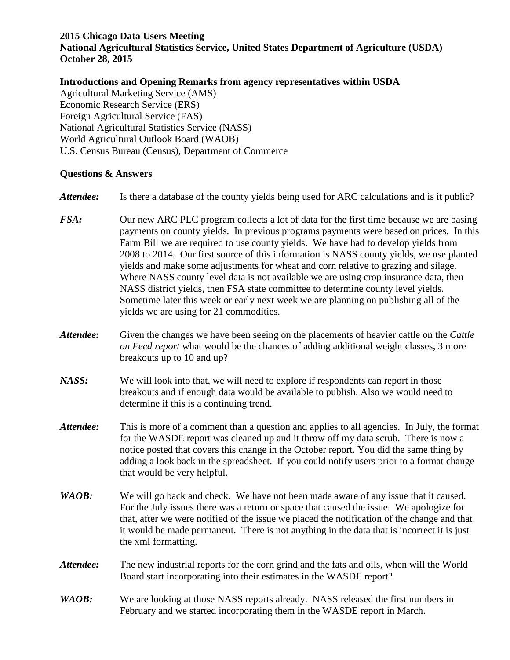## **2015 Chicago Data Users Meeting**

**National Agricultural Statistics Service, United States Department of Agriculture (USDA) October 28, 2015**

## **Introductions and Opening Remarks from agency representatives within USDA**

Agricultural Marketing Service (AMS) Economic Research Service (ERS) Foreign Agricultural Service (FAS) National Agricultural Statistics Service (NASS) World Agricultural Outlook Board (WAOB) U.S. Census Bureau (Census), Department of Commerce

## **Questions & Answers**

- *Attendee:* Is there a database of the county yields being used for ARC calculations and is it public?
- *FSA:* Our new ARC PLC program collects a lot of data for the first time because we are basing payments on county yields. In previous programs payments were based on prices. In this Farm Bill we are required to use county yields. We have had to develop yields from 2008 to 2014. Our first source of this information is NASS county yields, we use planted yields and make some adjustments for wheat and corn relative to grazing and silage. Where NASS county level data is not available we are using crop insurance data, then NASS district yields, then FSA state committee to determine county level yields. Sometime later this week or early next week we are planning on publishing all of the yields we are using for 21 commodities.
- *Attendee:* Given the changes we have been seeing on the placements of heavier cattle on the *Cattle on Feed report* what would be the chances of adding additional weight classes, 3 more breakouts up to 10 and up?
- *NASS:* We will look into that, we will need to explore if respondents can report in those breakouts and if enough data would be available to publish. Also we would need to determine if this is a continuing trend.
- *Attendee:* This is more of a comment than a question and applies to all agencies. In July, the format for the WASDE report was cleaned up and it throw off my data scrub. There is now a notice posted that covers this change in the October report. You did the same thing by adding a look back in the spreadsheet. If you could notify users prior to a format change that would be very helpful.
- *WAOB:* We will go back and check. We have not been made aware of any issue that it caused. For the July issues there was a return or space that caused the issue. We apologize for that, after we were notified of the issue we placed the notification of the change and that it would be made permanent. There is not anything in the data that is incorrect it is just the xml formatting.
- *Attendee:* The new industrial reports for the corn grind and the fats and oils, when will the World Board start incorporating into their estimates in the WASDE report?
- *WAOB*: We are looking at those NASS reports already. NASS released the first numbers in February and we started incorporating them in the WASDE report in March.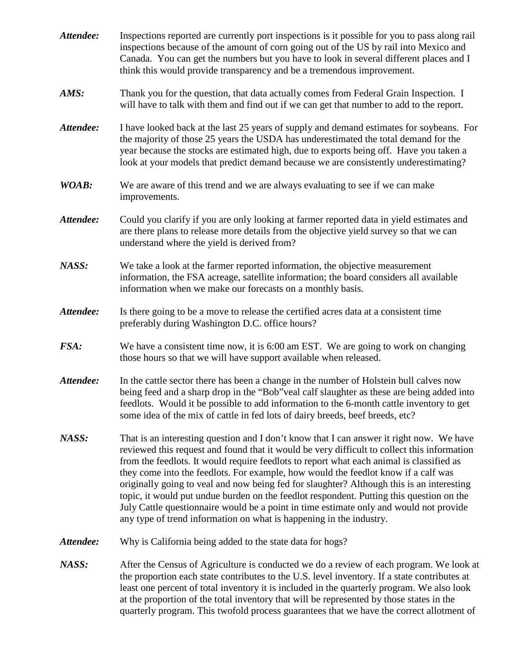| Attendee: | Inspections reported are currently port inspections is it possible for you to pass along rail<br>inspections because of the amount of corn going out of the US by rail into Mexico and<br>Canada. You can get the numbers but you have to look in several different places and I<br>think this would provide transparency and be a tremendous improvement.                                                                                                                                                                                                                                                                                                                                                                          |
|-----------|-------------------------------------------------------------------------------------------------------------------------------------------------------------------------------------------------------------------------------------------------------------------------------------------------------------------------------------------------------------------------------------------------------------------------------------------------------------------------------------------------------------------------------------------------------------------------------------------------------------------------------------------------------------------------------------------------------------------------------------|
| AMS:      | Thank you for the question, that data actually comes from Federal Grain Inspection. I<br>will have to talk with them and find out if we can get that number to add to the report.                                                                                                                                                                                                                                                                                                                                                                                                                                                                                                                                                   |
| Attendee: | I have looked back at the last 25 years of supply and demand estimates for soybeans. For<br>the majority of those 25 years the USDA has underestimated the total demand for the<br>year because the stocks are estimated high, due to exports being off. Have you taken a<br>look at your models that predict demand because we are consistently underestimating?                                                                                                                                                                                                                                                                                                                                                                   |
| WOAB:     | We are aware of this trend and we are always evaluating to see if we can make<br>improvements.                                                                                                                                                                                                                                                                                                                                                                                                                                                                                                                                                                                                                                      |
| Attendee: | Could you clarify if you are only looking at farmer reported data in yield estimates and<br>are there plans to release more details from the objective yield survey so that we can<br>understand where the yield is derived from?                                                                                                                                                                                                                                                                                                                                                                                                                                                                                                   |
| NASS:     | We take a look at the farmer reported information, the objective measurement<br>information, the FSA acreage, satellite information; the board considers all available<br>information when we make our forecasts on a monthly basis.                                                                                                                                                                                                                                                                                                                                                                                                                                                                                                |
| Attendee: | Is there going to be a move to release the certified acres data at a consistent time<br>preferably during Washington D.C. office hours?                                                                                                                                                                                                                                                                                                                                                                                                                                                                                                                                                                                             |
| FSA:      | We have a consistent time now, it is 6:00 am EST. We are going to work on changing<br>those hours so that we will have support available when released.                                                                                                                                                                                                                                                                                                                                                                                                                                                                                                                                                                             |
| Attendee: | In the cattle sector there has been a change in the number of Holstein bull calves now<br>being feed and a sharp drop in the "Bob" veal calf slaughter as these are being added into<br>feedlots. Would it be possible to add information to the 6-month cattle inventory to get<br>some idea of the mix of cattle in fed lots of dairy breeds, beef breeds, etc?                                                                                                                                                                                                                                                                                                                                                                   |
| NASS:     | That is an interesting question and I don't know that I can answer it right now. We have<br>reviewed this request and found that it would be very difficult to collect this information<br>from the feedlots. It would require feedlots to report what each animal is classified as<br>they come into the feedlots. For example, how would the feedlot know if a calf was<br>originally going to veal and now being fed for slaughter? Although this is an interesting<br>topic, it would put undue burden on the feedlot respondent. Putting this question on the<br>July Cattle questionnaire would be a point in time estimate only and would not provide<br>any type of trend information on what is happening in the industry. |
| Attendee: | Why is California being added to the state data for hogs?                                                                                                                                                                                                                                                                                                                                                                                                                                                                                                                                                                                                                                                                           |
| NASS:     | After the Census of Agriculture is conducted we do a review of each program. We look at<br>the proportion each state contributes to the U.S. level inventory. If a state contributes at<br>least one percent of total inventory it is included in the quarterly program. We also look<br>at the proportion of the total inventory that will be represented by those states in the<br>quarterly program. This twofold process guarantees that we have the correct allotment of                                                                                                                                                                                                                                                       |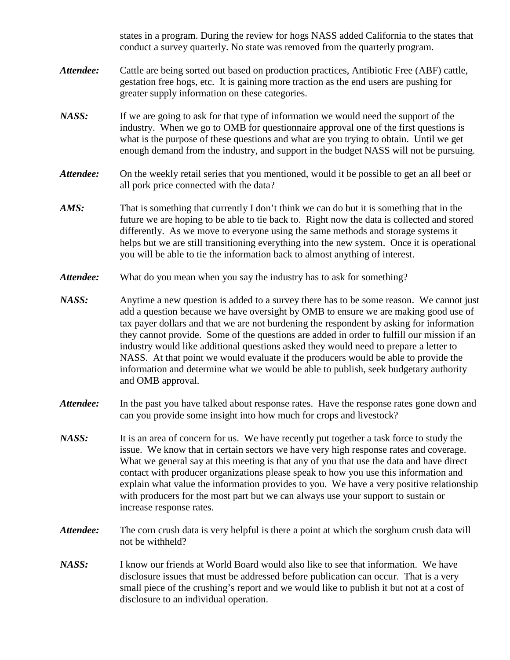states in a program. During the review for hogs NASS added California to the states that conduct a survey quarterly. No state was removed from the quarterly program.

- *Attendee:* Cattle are being sorted out based on production practices, Antibiotic Free (ABF) cattle, gestation free hogs, etc. It is gaining more traction as the end users are pushing for greater supply information on these categories.
- *NASS:* If we are going to ask for that type of information we would need the support of the industry. When we go to OMB for questionnaire approval one of the first questions is what is the purpose of these questions and what are you trying to obtain. Until we get enough demand from the industry, and support in the budget NASS will not be pursuing.
- *Attendee:* On the weekly retail series that you mentioned, would it be possible to get an all beef or all pork price connected with the data?
- *AMS:* That is something that currently I don't think we can do but it is something that in the future we are hoping to be able to tie back to. Right now the data is collected and stored differently. As we move to everyone using the same methods and storage systems it helps but we are still transitioning everything into the new system. Once it is operational you will be able to tie the information back to almost anything of interest.
- Attendee: What do you mean when you say the industry has to ask for something?
- *NASS:* Anytime a new question is added to a survey there has to be some reason. We cannot just add a question because we have oversight by OMB to ensure we are making good use of tax payer dollars and that we are not burdening the respondent by asking for information they cannot provide. Some of the questions are added in order to fulfill our mission if an industry would like additional questions asked they would need to prepare a letter to NASS. At that point we would evaluate if the producers would be able to provide the information and determine what we would be able to publish, seek budgetary authority and OMB approval.
- *Attendee:* In the past you have talked about response rates. Have the response rates gone down and can you provide some insight into how much for crops and livestock?
- *NASS:* It is an area of concern for us. We have recently put together a task force to study the issue. We know that in certain sectors we have very high response rates and coverage. What we general say at this meeting is that any of you that use the data and have direct contact with producer organizations please speak to how you use this information and explain what value the information provides to you. We have a very positive relationship with producers for the most part but we can always use your support to sustain or increase response rates.
- *Attendee:* The corn crush data is very helpful is there a point at which the sorghum crush data will not be withheld?
- *NASS:* I know our friends at World Board would also like to see that information. We have disclosure issues that must be addressed before publication can occur. That is a very small piece of the crushing's report and we would like to publish it but not at a cost of disclosure to an individual operation.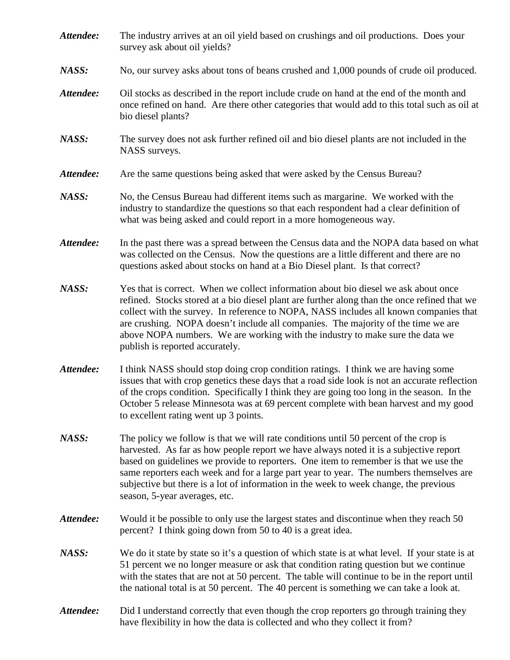- *Attendee:* The industry arrives at an oil yield based on crushings and oil productions. Does your survey ask about oil yields?
- *NASS:* No, our survey asks about tons of beans crushed and 1,000 pounds of crude oil produced.
- *Attendee:* Oil stocks as described in the report include crude on hand at the end of the month and once refined on hand. Are there other categories that would add to this total such as oil at bio diesel plants?
- *NASS:* The survey does not ask further refined oil and bio diesel plants are not included in the NASS surveys.
- Attendee: Are the same questions being asked that were asked by the Census Bureau?
- *NASS:* No, the Census Bureau had different items such as margarine. We worked with the industry to standardize the questions so that each respondent had a clear definition of what was being asked and could report in a more homogeneous way.
- *Attendee:* In the past there was a spread between the Census data and the NOPA data based on what was collected on the Census. Now the questions are a little different and there are no questions asked about stocks on hand at a Bio Diesel plant. Is that correct?
- *NASS:* Yes that is correct. When we collect information about bio diesel we ask about once refined. Stocks stored at a bio diesel plant are further along than the once refined that we collect with the survey. In reference to NOPA, NASS includes all known companies that are crushing. NOPA doesn't include all companies. The majority of the time we are above NOPA numbers. We are working with the industry to make sure the data we publish is reported accurately.
- *Attendee:* I think NASS should stop doing crop condition ratings. I think we are having some issues that with crop genetics these days that a road side look is not an accurate reflection of the crops condition. Specifically I think they are going too long in the season. In the October 5 release Minnesota was at 69 percent complete with bean harvest and my good to excellent rating went up 3 points.
- *NASS:* The policy we follow is that we will rate conditions until 50 percent of the crop is harvested. As far as how people report we have always noted it is a subjective report based on guidelines we provide to reporters. One item to remember is that we use the same reporters each week and for a large part year to year. The numbers themselves are subjective but there is a lot of information in the week to week change, the previous season, 5-year averages, etc.
- *Attendee:* Would it be possible to only use the largest states and discontinue when they reach 50 percent? I think going down from 50 to 40 is a great idea.
- *NASS:* We do it state by state so it's a question of which state is at what level. If your state is at 51 percent we no longer measure or ask that condition rating question but we continue with the states that are not at 50 percent. The table will continue to be in the report until the national total is at 50 percent. The 40 percent is something we can take a look at.
- *Attendee:* Did I understand correctly that even though the crop reporters go through training they have flexibility in how the data is collected and who they collect it from?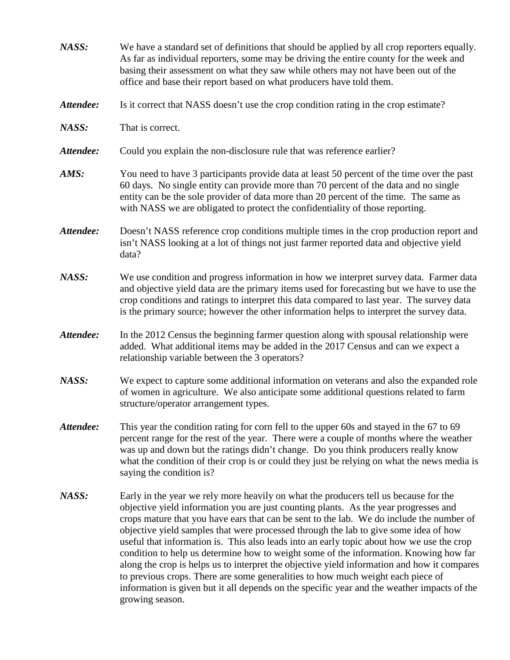| NASS:     | We have a standard set of definitions that should be applied by all crop reporters equally.<br>As far as individual reporters, some may be driving the entire county for the week and<br>basing their assessment on what they saw while others may not have been out of the<br>office and base their report based on what producers have told them.                                                                                                                                                                                                                                                                                                                                                                                                                                                                                                        |
|-----------|------------------------------------------------------------------------------------------------------------------------------------------------------------------------------------------------------------------------------------------------------------------------------------------------------------------------------------------------------------------------------------------------------------------------------------------------------------------------------------------------------------------------------------------------------------------------------------------------------------------------------------------------------------------------------------------------------------------------------------------------------------------------------------------------------------------------------------------------------------|
| Attendee: | Is it correct that NASS doesn't use the crop condition rating in the crop estimate?                                                                                                                                                                                                                                                                                                                                                                                                                                                                                                                                                                                                                                                                                                                                                                        |
| NASS:     | That is correct.                                                                                                                                                                                                                                                                                                                                                                                                                                                                                                                                                                                                                                                                                                                                                                                                                                           |
| Attendee: | Could you explain the non-disclosure rule that was reference earlier?                                                                                                                                                                                                                                                                                                                                                                                                                                                                                                                                                                                                                                                                                                                                                                                      |
| AMS:      | You need to have 3 participants provide data at least 50 percent of the time over the past<br>60 days. No single entity can provide more than 70 percent of the data and no single<br>entity can be the sole provider of data more than 20 percent of the time. The same as<br>with NASS we are obligated to protect the confidentiality of those reporting.                                                                                                                                                                                                                                                                                                                                                                                                                                                                                               |
| Attendee: | Doesn't NASS reference crop conditions multiple times in the crop production report and<br>isn't NASS looking at a lot of things not just farmer reported data and objective yield<br>data?                                                                                                                                                                                                                                                                                                                                                                                                                                                                                                                                                                                                                                                                |
| NASS:     | We use condition and progress information in how we interpret survey data. Farmer data<br>and objective yield data are the primary items used for forecasting but we have to use the<br>crop conditions and ratings to interpret this data compared to last year. The survey data<br>is the primary source; however the other information helps to interpret the survey data.                                                                                                                                                                                                                                                                                                                                                                                                                                                                              |
| Attendee: | In the 2012 Census the beginning farmer question along with spousal relationship were<br>added. What additional items may be added in the 2017 Census and can we expect a<br>relationship variable between the 3 operators?                                                                                                                                                                                                                                                                                                                                                                                                                                                                                                                                                                                                                                |
| NASS:     | We expect to capture some additional information on veterans and also the expanded role<br>of women in agriculture. We also anticipate some additional questions related to farm<br>structure/operator arrangement types.                                                                                                                                                                                                                                                                                                                                                                                                                                                                                                                                                                                                                                  |
| Attendee: | This year the condition rating for corn fell to the upper 60s and stayed in the 67 to 69<br>percent range for the rest of the year. There were a couple of months where the weather<br>was up and down but the ratings didn't change. Do you think producers really know<br>what the condition of their crop is or could they just be relying on what the news media is<br>saying the condition is?                                                                                                                                                                                                                                                                                                                                                                                                                                                        |
| NASS:     | Early in the year we rely more heavily on what the producers tell us because for the<br>objective yield information you are just counting plants. As the year progresses and<br>crops mature that you have ears that can be sent to the lab. We do include the number of<br>objective yield samples that were processed through the lab to give some idea of how<br>useful that information is. This also leads into an early topic about how we use the crop<br>condition to help us determine how to weight some of the information. Knowing how far<br>along the crop is helps us to interpret the objective yield information and how it compares<br>to previous crops. There are some generalities to how much weight each piece of<br>information is given but it all depends on the specific year and the weather impacts of the<br>growing season. |